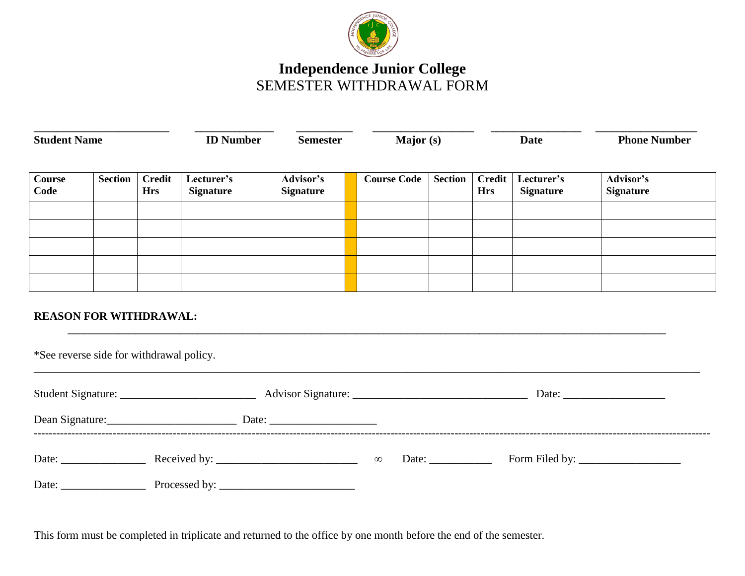

## **Independence Junior College** SEMESTER WITHDRAWAL FORM

| <b>Student Name</b>           |                |                             | <b>ID Number</b>               | <b>Semester</b>               | Major (s)          |                | <b>Date</b>                 |                                | <b>Phone Number</b>           |  |
|-------------------------------|----------------|-----------------------------|--------------------------------|-------------------------------|--------------------|----------------|-----------------------------|--------------------------------|-------------------------------|--|
| <b>Course</b><br>Code         | <b>Section</b> | <b>Credit</b><br><b>Hrs</b> | Lecturer's<br><b>Signature</b> | Advisor's<br><b>Signature</b> | <b>Course Code</b> | <b>Section</b> | <b>Credit</b><br><b>Hrs</b> | Lecturer's<br><b>Signature</b> | Advisor's<br><b>Signature</b> |  |
|                               |                |                             |                                |                               |                    |                |                             |                                |                               |  |
|                               |                |                             |                                |                               |                    |                |                             |                                |                               |  |
|                               |                |                             |                                |                               |                    |                |                             |                                |                               |  |
| <b>REASON FOR WITHDRAWAL:</b> |                |                             |                                |                               |                    |                |                             |                                |                               |  |

|                 |               |          | Date: |                              |  |  |
|-----------------|---------------|----------|-------|------------------------------|--|--|
| Dean Signature: |               |          |       |                              |  |  |
| Date:           |               | $\infty$ | Date: | Form Filed by: $\frac{1}{2}$ |  |  |
| Date:           | Processed by: |          |       |                              |  |  |

\_\_\_\_\_\_\_\_\_\_\_\_\_\_\_\_\_\_\_\_\_\_\_\_\_\_\_\_\_\_\_\_\_\_\_\_\_\_\_\_\_\_\_\_\_\_\_\_\_\_\_\_\_\_\_\_\_\_\_\_\_\_\_\_\_\_\_\_\_\_\_\_\_\_\_\_\_\_\_\_\_\_\_\_\_\_\_\_\_\_\_\_\_\_\_\_\_\_\_\_\_\_\_\_\_\_\_\_\_\_\_\_\_\_\_\_\_\_

This form must be completed in triplicate and returned to the office by one month before the end of the semester.